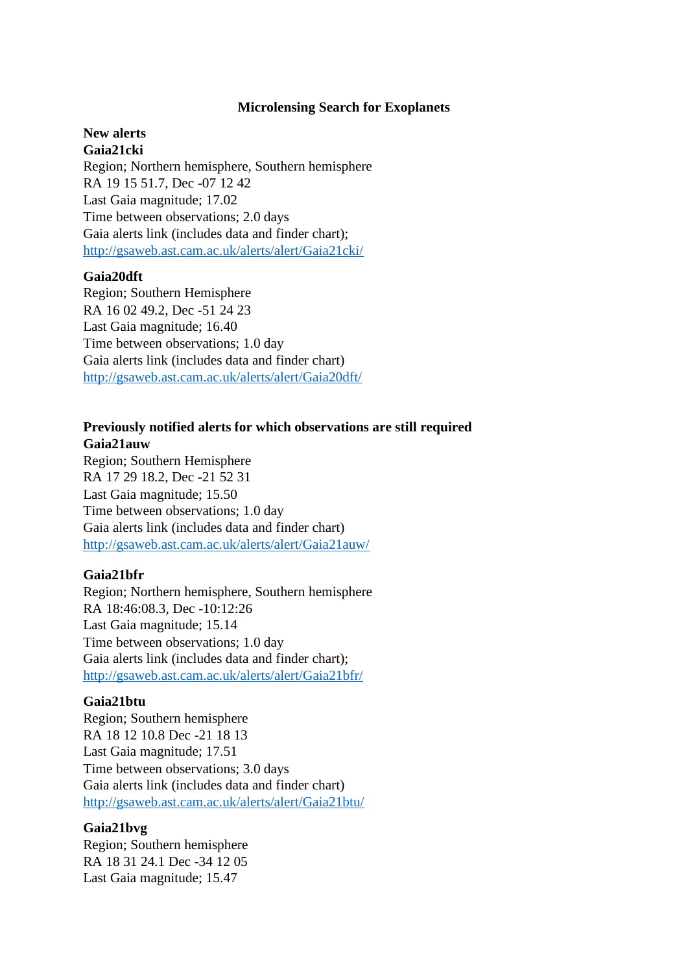#### **Microlensing Search for Exoplanets**

### **New alerts Gaia21cki**

Region; Northern hemisphere, Southern hemisphere RA 19 15 51.7, Dec -07 12 42 Last Gaia magnitude; 17.02 Time between observations; 2.0 days Gaia alerts link (includes data and finder chart); <http://gsaweb.ast.cam.ac.uk/alerts/alert/Gaia21cki/>

### **Gaia20dft**

Region; Southern Hemisphere RA 16 02 49.2, Dec -51 24 23 Last Gaia magnitude; 16.40 Time between observations; 1.0 day Gaia alerts link (includes data and finder chart) <http://gsaweb.ast.cam.ac.uk/alerts/alert/Gaia20dft/>

# **Previously notified alerts for which observations are still required Gaia21auw**

Region; Southern Hemisphere RA 17 29 18.2, Dec -21 52 31 Last Gaia magnitude; 15.50 Time between observations; 1.0 day Gaia alerts link (includes data and finder chart) <http://gsaweb.ast.cam.ac.uk/alerts/alert/Gaia21auw/>

## **Gaia21bfr**

Region; Northern hemisphere, Southern hemisphere RA 18:46:08.3, Dec -10:12:26 Last Gaia magnitude; 15.14 Time between observations; 1.0 day Gaia alerts link (includes data and finder chart); <http://gsaweb.ast.cam.ac.uk/alerts/alert/Gaia21bfr/>

## **Gaia21btu**

Region; Southern hemisphere RA 18 12 10.8 Dec -21 18 13 Last Gaia magnitude; 17.51 Time between observations; 3.0 days Gaia alerts link (includes data and finder chart) <http://gsaweb.ast.cam.ac.uk/alerts/alert/Gaia21btu/>

## **Gaia21bvg**

Region; Southern hemisphere RA 18 31 24.1 Dec -34 12 05 Last Gaia magnitude; 15.47